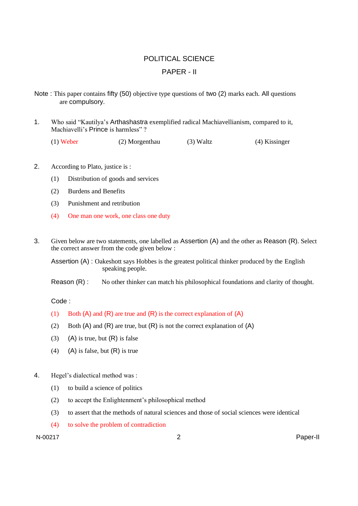# POLITICAL SCIENCE

## PAPER - II

- Note : This paper contains fifty (50) objective type questions of two (2) marks each. All questions are compulsory.
- 1. Who said "Kautilya's Arthashastra exemplified radical Machiavellianism, compared to it, Machiavelli's Prince is harmless" ?

(1) Weber (2) Morgenthau (3) Waltz (4) Kissinger

- 2. According to Plato, justice is :
	- (1) Distribution of goods and services
	- (2) Burdens and Benefits
	- (3) Punishment and retribution
	- (4) One man one work, one class one duty
- 3. Given below are two statements, one labelled as Assertion (A) and the other as Reason (R). Select the correct answer from the code given below :

Assertion (A) : Oakeshott says Hobbes is the greatest political thinker produced by the English speaking people.

Reason (R) : No other thinker can match his philosophical foundations and clarity of thought.

### Code :

- (1) Both  $(A)$  and  $(R)$  are true and  $(R)$  is the correct explanation of  $(A)$
- (2) Both (A) and (R) are true, but (R) is not the correct explanation of (A)
- (3) (A) is true, but  $(R)$  is false
- (4) (A) is false, but  $(R)$  is true
- 4. Hegel's dialectical method was :
	- (1) to build a science of politics
	- (2) to accept the Enlightenment's philosophical method
	- (3) to assert that the methods of natural sciences and those of social sciences were identical
	- (4) to solve the problem of contradiction

N-00217 2 Paper-II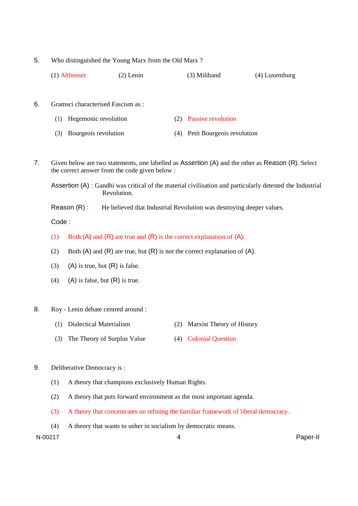5. Who distinguished the Young Marx from the Old Marx ?

| $(1)$ Althusser | $(2)$ Lenin | (3) Miliband | (4) Luxemburg |
|-----------------|-------------|--------------|---------------|
|-----------------|-------------|--------------|---------------|

- 6. Gramsci characterised Fascism as :
	- (1) Hegemonic revolution (2) Passive revolution
	- (3) Bourgeois revolution (4) Petit Bourgeois revolution
- 7. Given below are two statements, one labelled as Assertion (A) and the other as Reason (R). Select the correct answer from the code given below :

Assertion (A) : Gandhi was critical of the material civilisation and particularly detested the Industrial Revolution.

Reason (R) : He believed that Industrial Revolution was destroying deeper values.

Code :

- (1) Both (A) and (R) are true and (R) is the correct explanation of (A).
- (2) Both  $(A)$  and  $(R)$  are true, but  $(R)$  is not the correct explanation of  $(A)$ .
- (3) (A) is true, but  $(R)$  is false.
- (4) (A) is false, but  $(R)$  is true.
- 8. Roy Lenin debate centred around :
	- (1) Dialectical Materialism (2) Marxist Theory of History
	- (3) The Theory of Surplus Value (4) Colonial Question
- 9. Deliberative Democracy is :
	- (1) A theory that champions exclusively Human Rights.
	- (2) A theory that puts forward environment as the most important agenda.
	- (3) A theory that concentrates on refining the familiar framework of liberal democracy.
	- (4) A theory that wants to usher in socialism by democratic means.

N-00217 4 Paper-II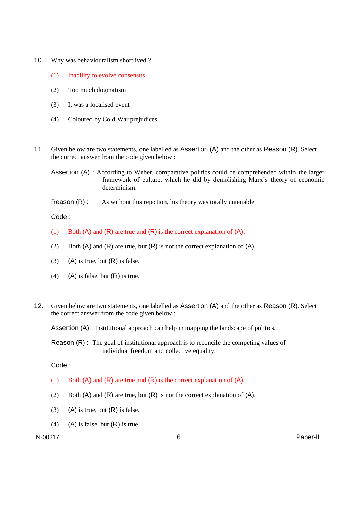- 10. Why was behaviouralism shortlived ?
	- (1) Inability to evolve consensus
	- (2) Too much dogmatism
	- (3) It was a localised event
	- (4) Coloured by Cold War prejudices
- 11. Given below are two statements, one labelled as Assertion (A) and the other as Reason (R). Select the correct answer from the code given below :
	- Assertion (A) : According to Weber, comparative politics could be comprehended within the larger framework of culture, which he did by demolishing Marx's theory of economic determinism.
	- Reason (R) : As without this rejection, his theory was totally untenable.

Code :

- (1) Both  $(A)$  and  $(R)$  are true and  $(R)$  is the correct explanation of  $(A)$ .
- (2) Both  $(A)$  and  $(R)$  are true, but  $(R)$  is not the correct explanation of  $(A)$ .
- (3) (A) is true, but  $(R)$  is false.
- (4) (A) is false, but  $(R)$  is true.
- 12. Given below are two statements, one labelled as Assertion (A) and the other as Reason (R). Select the correct answer from the code given below :

Assertion (A) : Institutional approach can help in mapping the landscape of politics.

Reason (R) : The goal of institutional approach is to reconcile the competing values of individual freedom and collective equality.

Code :

- (1) Both (A) and (R) are true and (R) is the correct explanation of (A).
- (2) Both  $(A)$  and  $(R)$  are true, but  $(R)$  is not the correct explanation of  $(A)$ .
- (3) (A) is true, but  $(R)$  is false.
- (4) (A) is false, but  $(R)$  is true.

N-00217 6 Paper-II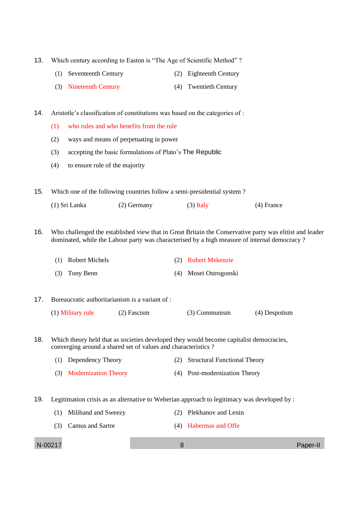13. Which century according to Easton is "The Age of Scientific Method"?

- (1) Seventeenth Century (2) Eighteenth Century
- (3) Nineteenth Century (4) Twentieth Century

14. Aristotle's classification of constitutions was based on the categories of :

- (1) who rules and who benefits from the rule
- (2) ways and means of perpetuating in power
- (3) accepting the basic formulations of Plato's The Republic
- (4) to ensure rule of the majority

15. Which one of the following countries follow a semi-presidential system ?

(1) Sri Lanka (2) Germany (3) Italy (4) France

16. Who challenged the established view that in Great Britain the Conservative party was elitist and leader dominated, while the Labour party was characterised by a high measure of internal democracy ?

| (1) Robert Michels | (2) Robert Mekenzie   |
|--------------------|-----------------------|
| $(3)$ Tony Benn    | (4) Mosei Ostrogonski |

#### 17. Bureaucratic authoritarianism is a variant of :

| (1) Military rule | $(2)$ Fascism | $(3)$ Communism | (4) Despotism |
|-------------------|---------------|-----------------|---------------|
|-------------------|---------------|-----------------|---------------|

18. Which theory held that as societies developed they would become capitalist democracies, converging around a shared set of values and characteristics ?

| (1) Dependency Theory    | (2) Structural Functional Theory |
|--------------------------|----------------------------------|
| (3) Modernization Theory | (4) Post-modernization Theory    |

19. Legitimation crisis as an alternative to Weberian approach to legitimacy was developed by :

- (1) Miliband and Sweezy (2) Plekhanov and Lenin
- (3) Camus and Sartre (4) Habermas and Offe

N-00217 8 Paper-II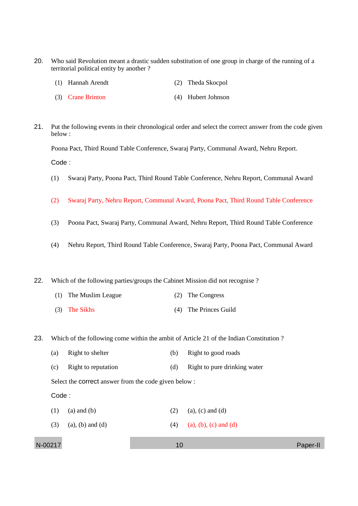20. Who said Revolution meant a drastic sudden substitution of one group in charge of the running of a territorial political entity by another ?

| (1) Hannah Arendt |  | (2) Theda Skocpol |
|-------------------|--|-------------------|
|-------------------|--|-------------------|

- (3) Crane Brinton (4) Hubert Johnson
- 21. Put the following events in their chronological order and select the correct answer from the code given below :

Poona Pact, Third Round Table Conference, Swaraj Party, Communal Award, Nehru Report.

Code :

- (1) Swaraj Party, Poona Pact, Third Round Table Conference, Nehru Report, Communal Award
- (2) Swaraj Party, Nehru Report, Communal Award, Poona Pact, Third Round Table Conference
- (3) Poona Pact, Swaraj Party, Communal Award, Nehru Report, Third Round Table Conference
- (4) Nehru Report, Third Round Table Conference, Swaraj Party, Poona Pact, Communal Award

22. Which of the following parties/groups the Cabinet Mission did not recognise ?

- (1) The Muslim League (2) The Congress
- (3) The Sikhs (4) The Princes Guild

23. Which of the following come within the ambit of Article 21 of the Indian Constitution ?

| (a) | Right to shelter | (b) Right to good roads |  |
|-----|------------------|-------------------------|--|
|     |                  |                         |  |

(c) Right to reputation (d) Right to pure drinking water

Select the correct answer from the code given below :

#### Code :

- (1) (a) and (b) (2) (a), (c) and (d)
- (3) (a), (b) and (d) (4) (a), (b), (c) and (d)

N-00217 10 Paper-II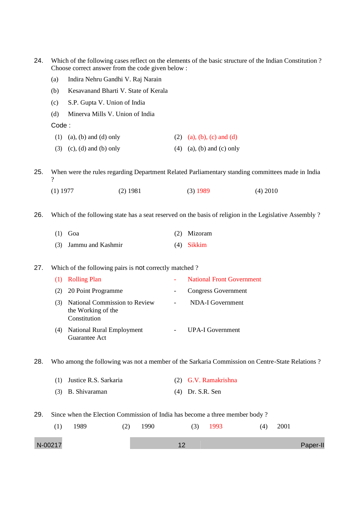- 24. Which of the following cases reflect on the elements of the basic structure of the Indian Constitution ? Choose correct answer from the code given below :
	- (a) Indira Nehru Gandhi V. Raj Narain
	- (b) Kesavanand Bharti V. State of Kerala
	- (c) S.P. Gupta V. Union of India
	- (d) Minerva Mills V. Union of India

Code :

- (1) (a), (b) and (d) only (2) (a), (b), (c) and (d)
- (3) (c), (d) and (b) only (4) (a), (b) and (c) only

25. When were the rules regarding Department Related Parliamentary standing committees made in India  $\boldsymbol{\gamma}$ 

(1) 1977 (2) 1981 (3) 1989 (4) 2010

26. Which of the following state has a seat reserved on the basis of religion in the Legislative Assembly ?

| $(1)$ Goa             | (2) Mizoram  |
|-----------------------|--------------|
| (3) Jammu and Kashmir | $(4)$ Sikkim |

#### 27. Which of the following pairs is not correctly matched ?

|     | <b>Rolling Plan</b>                                                 | <b>National Front Government</b> |
|-----|---------------------------------------------------------------------|----------------------------------|
| (2) | 20 Point Programme                                                  | Congress Government              |
|     | National Commission to Review<br>the Working of the<br>Constitution | NDA-I Government                 |
| (4) | <b>National Rural Employment</b><br>Guarantee Act                   | UPA-I Government                 |

28. Who among the following was not a member of the Sarkaria Commission on Centre-State Relations ?

| (1) Justice R.S. Sarkaria | (2) G.V. Ramakrishna |
|---------------------------|----------------------|
| (3) B. Shivaraman         | $(4)$ Dr. S.R. Sen   |

29. Since when the Election Commission of India has become a three member body ?

| $\left(1\right)$ | 1989 | (2) | 1990 | 1993 | (4) | 2001 |          |
|------------------|------|-----|------|------|-----|------|----------|
| N-00217          |      |     |      |      |     |      | Paper-II |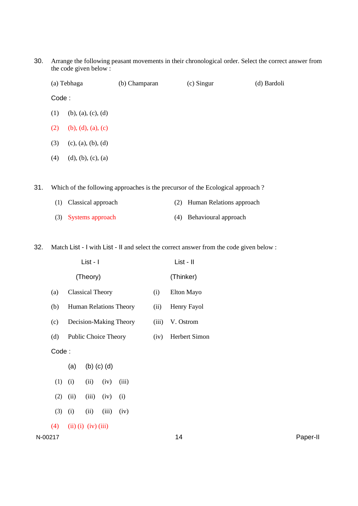30. Arrange the following peasant movements in their chronological order. Select the correct answer from the code given below :

|       | (a) Tebhaga           | (b) Champaran | $(c)$ Singur | (d) Bardoli |
|-------|-----------------------|---------------|--------------|-------------|
| Code: |                       |               |              |             |
| (1)   | $(b)$ , (a), (c), (d) |               |              |             |
| (2)   | (b), (d), (a), (c)    |               |              |             |
| (3)   | (c), (a), (b), (d)    |               |              |             |
| (4)   | (d), (b), (c), (a)    |               |              |             |
|       |                       |               |              |             |

31. Which of the following approaches is the precursor of the Ecological approach ?

| (1) Classical approach | (2) Human Relations approach |
|------------------------|------------------------------|
| (3) Systems approach   | (4) Behavioural approach     |

32. Match List - I with List - II and select the correct answer from the code given below :

|       |                             | List - I                    |                | List - II |                      |  |  |  |
|-------|-----------------------------|-----------------------------|----------------|-----------|----------------------|--|--|--|
|       |                             | (Theory)                    |                |           | (Thinker)            |  |  |  |
| (a)   |                             | <b>Classical Theory</b>     |                | (i)       | Elton Mayo           |  |  |  |
| (b)   |                             | Human Relations Theory      |                | (ii)      | Henry Fayol          |  |  |  |
| (c)   |                             | Decision-Making Theory      |                | (iii)     | V. Ostrom            |  |  |  |
| (d)   |                             | <b>Public Choice Theory</b> |                | (iv)      | <b>Herbert Simon</b> |  |  |  |
| Code: |                             |                             |                |           |                      |  |  |  |
|       |                             | (a) (b) (c) (d)             |                |           |                      |  |  |  |
|       | $(1)$ $(i)$                 |                             | $(ii)$ $(iv)$  | (iii)     |                      |  |  |  |
| (2)   | (ii)                        |                             | $(iii)$ $(iv)$ | (i)       |                      |  |  |  |
| (3)   | (i)                         | (ii)                        | (iii)          | (iv)      |                      |  |  |  |
| (4)   | $(ii)$ $(i)$ $(iv)$ $(iii)$ |                             |                |           |                      |  |  |  |

N-00217 14 Paper-II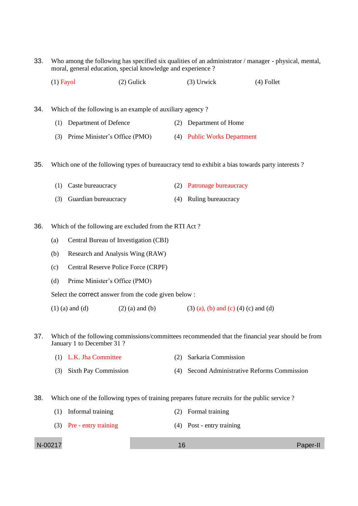33. Who among the following has specified six qualities of an administrator / manager - physical, mental, moral, general education, special knowledge and experience ?

(1) Fayol (2) Gulick (3) Urwick (4) Follet

34. Which of the following is an example of auxiliary agency ?

- (1) Department of Defence (2) Department of Home
- (3) Prime Minister's Office (PMO) (4) Public Works Department

35. Which one of the following types of bureaucracy tend to exhibit a bias towards party interests ?

| (1) Caste bureaucracy    | (2) Patronage bureaucracy |
|--------------------------|---------------------------|
| (3) Guardian bureaucracy | (4) Ruling bureaucracy    |

36. Which of the following are excluded from the RTI Act ?

- (a) Central Bureau of Investigation (CBI)
- (b) Research and Analysis Wing (RAW)
- (c) Central Reserve Police Force (CRPF)
- (d) Prime Minister's Office (PMO)

Select the correct answer from the code given below :

(1) (a) and (d) (2) (a) and (b) (3) (a), (b) and (c) (4) (c) and (d)

- 37. Which of the following commissions/committees recommended that the financial year should be from January 1 to December 31 ?
	- (1) L.K. Jha Committee (2) Sarkaria Commission
	- (3) Sixth Pay Commission (4) Second Administrative Reforms Commission
- 38. Which one of the following types of training prepares future recruits for the public service ?
	- (1) Informal training (2) Formal training
	- (3) Pre entry training (4) Post entry training

N-00217 2002 16 Paper-II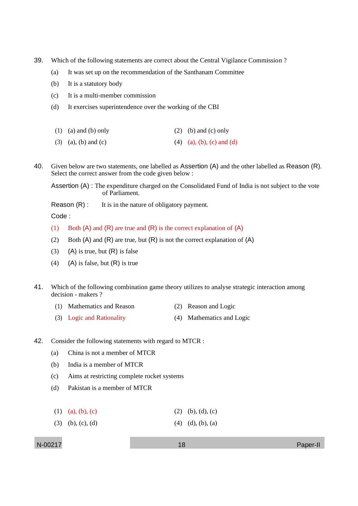- 39. Which of the following statements are correct about the Central Vigilance Commission ?
	- (a) It was set up on the recommendation of the Santhanam Committee
	- (b) It is a statutory body
	- (c) It is a multi-member commission
	- (d) It exercises superintendence over the working of the CBI
	- (1) (a) and (b) only (2) (b) and (c) only
	- (3) (a), (b) and (c) (4) (a), (b), (c) and (d)
- 40. Given below are two statements, one labelled as Assertion (A) and the other labelled as Reason (R). Select the correct answer from the code given below :

Assertion (A) : The expenditure charged on the Consolidated Fund of India is not subject to the vote of Parliament.

Reason  $(R)$ : It is in the nature of obligatory payment.

Code :

- (1) Both  $(A)$  and  $(R)$  are true and  $(R)$  is the correct explanation of  $(A)$
- (2) Both  $(A)$  and  $(R)$  are true, but  $(R)$  is not the correct explanation of  $(A)$
- (3) (A) is true, but  $(R)$  is false
- (4) (A) is false, but  $(R)$  is true
- 41. Which of the following combination game theory utilizes to analyse strategic interaction among decision - makers ?
	- (1) Mathematics and Reason (2) Reason and Logic
	- (3) Logic and Rationality (4) Mathematics and Logic
- 42. Consider the following statements with regard to MTCR :
	- (a) China is not a member of MTCR
	- (b) India is a member of MTCR
	- (c) Aims at restricting complete rocket systems
	- (d) Pakistan is a member of MTCR
	- (1) (a), (b), (c) (2) (b), (d), (c)
	- (3) (b), (c), (d) (4) (d), (b), (a)

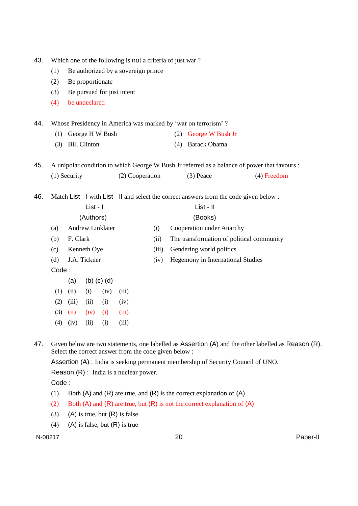| 43. |                                                               | Which one of the following is not a criteria of just war? |                     |      |                            |                         |                                           |                                                                                          |                                                                                              |  |
|-----|---------------------------------------------------------------|-----------------------------------------------------------|---------------------|------|----------------------------|-------------------------|-------------------------------------------|------------------------------------------------------------------------------------------|----------------------------------------------------------------------------------------------|--|
|     | (1)                                                           | Be authorized by a sovereign prince                       |                     |      |                            |                         |                                           |                                                                                          |                                                                                              |  |
|     | (2)                                                           | Be proportionate                                          |                     |      |                            |                         |                                           |                                                                                          |                                                                                              |  |
|     | (3)                                                           | Be pursued for just intent                                |                     |      |                            |                         |                                           |                                                                                          |                                                                                              |  |
|     | (4)                                                           |                                                           | be undeclared       |      |                            |                         |                                           |                                                                                          |                                                                                              |  |
| 44. | Whose Presidency in America was marked by 'war on terrorism'? |                                                           |                     |      |                            |                         |                                           |                                                                                          |                                                                                              |  |
|     | George H W Bush<br>(1)                                        |                                                           |                     |      |                            | George W Bush Jr<br>(2) |                                           |                                                                                          |                                                                                              |  |
|     | (3)                                                           |                                                           | <b>Bill Clinton</b> |      |                            |                         | (4)                                       | <b>Barack Obama</b>                                                                      |                                                                                              |  |
| 45. |                                                               |                                                           |                     |      |                            |                         |                                           |                                                                                          | A unipolar condition to which George W Bush Jr referred as a balance of power that favours : |  |
|     | (2) Cooperation<br>$(1)$ Security                             |                                                           |                     |      | $(3)$ Peace<br>(4) Freedom |                         |                                           |                                                                                          |                                                                                              |  |
|     |                                                               |                                                           |                     |      |                            |                         |                                           |                                                                                          |                                                                                              |  |
| 46. |                                                               |                                                           |                     |      |                            |                         |                                           | Match List - I with List - II and select the correct answers from the code given below : |                                                                                              |  |
|     | List - I                                                      |                                                           |                     |      |                            |                         | List - II                                 |                                                                                          |                                                                                              |  |
|     |                                                               |                                                           | (Authors)           |      |                            |                         | (Books)                                   |                                                                                          |                                                                                              |  |
|     | (a)                                                           | <b>Andrew Linklater</b>                                   |                     |      |                            | (i)                     | Cooperation under Anarchy                 |                                                                                          |                                                                                              |  |
|     | (b)                                                           | F. Clark                                                  |                     |      |                            | (ii)                    | The transformation of political community |                                                                                          |                                                                                              |  |
|     | (c)                                                           | Kenneth Oye                                               |                     |      |                            | (iii)                   | Gendering world politics                  |                                                                                          |                                                                                              |  |
|     | (d)                                                           | J.A. Tickner                                              |                     |      |                            | (iv)                    | Hegemony in International Studies         |                                                                                          |                                                                                              |  |
|     | Code:                                                         |                                                           |                     |      |                            |                         |                                           |                                                                                          |                                                                                              |  |
|     |                                                               | $(b)$ $(c)$ $(d)$<br>(a)                                  |                     |      |                            |                         |                                           |                                                                                          |                                                                                              |  |
|     | (1)                                                           | (ii)                                                      | (i)                 | (iv) | (iii)                      |                         |                                           |                                                                                          |                                                                                              |  |
|     | (2)                                                           | (iii)                                                     | (ii)                | (i)  | (iv)                       |                         |                                           |                                                                                          |                                                                                              |  |
|     | (3)                                                           | (ii)                                                      | (iv)                | (i)  | (iii)                      |                         |                                           |                                                                                          |                                                                                              |  |
|     | (4)                                                           | (iv)                                                      | (ii)                | (i)  | (iii)                      |                         |                                           |                                                                                          |                                                                                              |  |
|     |                                                               |                                                           |                     |      |                            |                         |                                           |                                                                                          |                                                                                              |  |

47. Given below are two statements, one labelled as Assertion (A) and the other labelled as Reason (R). Select the correct answer from the code given below :

Assertion (A) : India is seeking permanent membership of Security Council of UNO.

Reason (R) : India is a nuclear power.

Code :

- (1) Both  $(A)$  and  $(R)$  are true, and  $(R)$  is the correct explanation of  $(A)$
- (2) Both  $(A)$  and  $(R)$  are true, but  $(R)$  is not the correct explanation of  $(A)$
- (3) (A) is true, but  $(R)$  is false
- (4) (A) is false, but  $(R)$  is true

N-00217 20 Paper-II